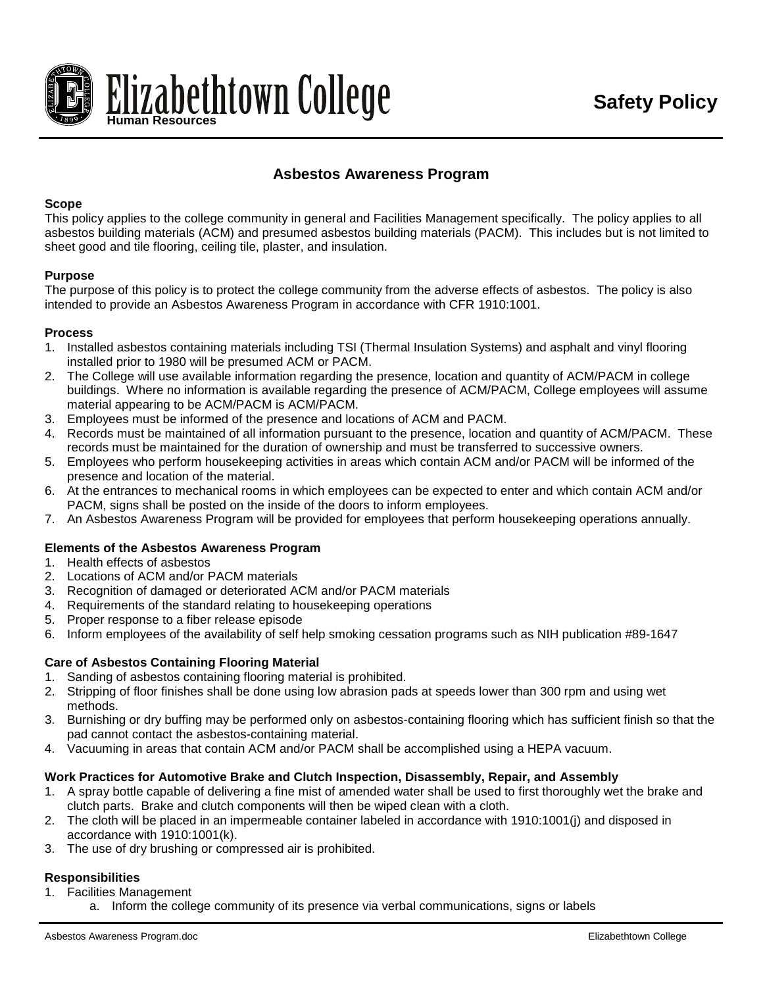

# **Asbestos Awareness Program**

## **Scope**

This policy applies to the college community in general and Facilities Management specifically. The policy applies to all asbestos building materials (ACM) and presumed asbestos building materials (PACM). This includes but is not limited to sheet good and tile flooring, ceiling tile, plaster, and insulation.

## **Purpose**

The purpose of this policy is to protect the college community from the adverse effects of asbestos. The policy is also intended to provide an Asbestos Awareness Program in accordance with CFR 1910:1001.

#### **Process**

- 1. Installed asbestos containing materials including TSI (Thermal Insulation Systems) and asphalt and vinyl flooring installed prior to 1980 will be presumed ACM or PACM.
- 2. The College will use available information regarding the presence, location and quantity of ACM/PACM in college buildings. Where no information is available regarding the presence of ACM/PACM, College employees will assume material appearing to be ACM/PACM is ACM/PACM.
- 3. Employees must be informed of the presence and locations of ACM and PACM.
- 4. Records must be maintained of all information pursuant to the presence, location and quantity of ACM/PACM. These records must be maintained for the duration of ownership and must be transferred to successive owners.
- 5. Employees who perform housekeeping activities in areas which contain ACM and/or PACM will be informed of the presence and location of the material.
- 6. At the entrances to mechanical rooms in which employees can be expected to enter and which contain ACM and/or PACM, signs shall be posted on the inside of the doors to inform employees.
- 7. An Asbestos Awareness Program will be provided for employees that perform housekeeping operations annually.

# **Elements of the Asbestos Awareness Program**

- 1. Health effects of asbestos
- 2. Locations of ACM and/or PACM materials
- 3. Recognition of damaged or deteriorated ACM and/or PACM materials
- 4. Requirements of the standard relating to housekeeping operations
- 5. Proper response to a fiber release episode
- 6. Inform employees of the availability of self help smoking cessation programs such as NIH publication #89-1647

# **Care of Asbestos Containing Flooring Material**

- 1. Sanding of asbestos containing flooring material is prohibited.
- 2. Stripping of floor finishes shall be done using low abrasion pads at speeds lower than 300 rpm and using wet methods.
- 3. Burnishing or dry buffing may be performed only on asbestos-containing flooring which has sufficient finish so that the pad cannot contact the asbestos-containing material.
- 4. Vacuuming in areas that contain ACM and/or PACM shall be accomplished using a HEPA vacuum.

# **Work Practices for Automotive Brake and Clutch Inspection, Disassembly, Repair, and Assembly**

- 1. A spray bottle capable of delivering a fine mist of amended water shall be used to first thoroughly wet the brake and clutch parts. Brake and clutch components will then be wiped clean with a cloth.
- 2. The cloth will be placed in an impermeable container labeled in accordance with 1910:1001(j) and disposed in accordance with 1910:1001(k).
- 3. The use of dry brushing or compressed air is prohibited.

#### **Responsibilities**

- 1. Facilities Management
	- a. Inform the college community of its presence via verbal communications, signs or labels